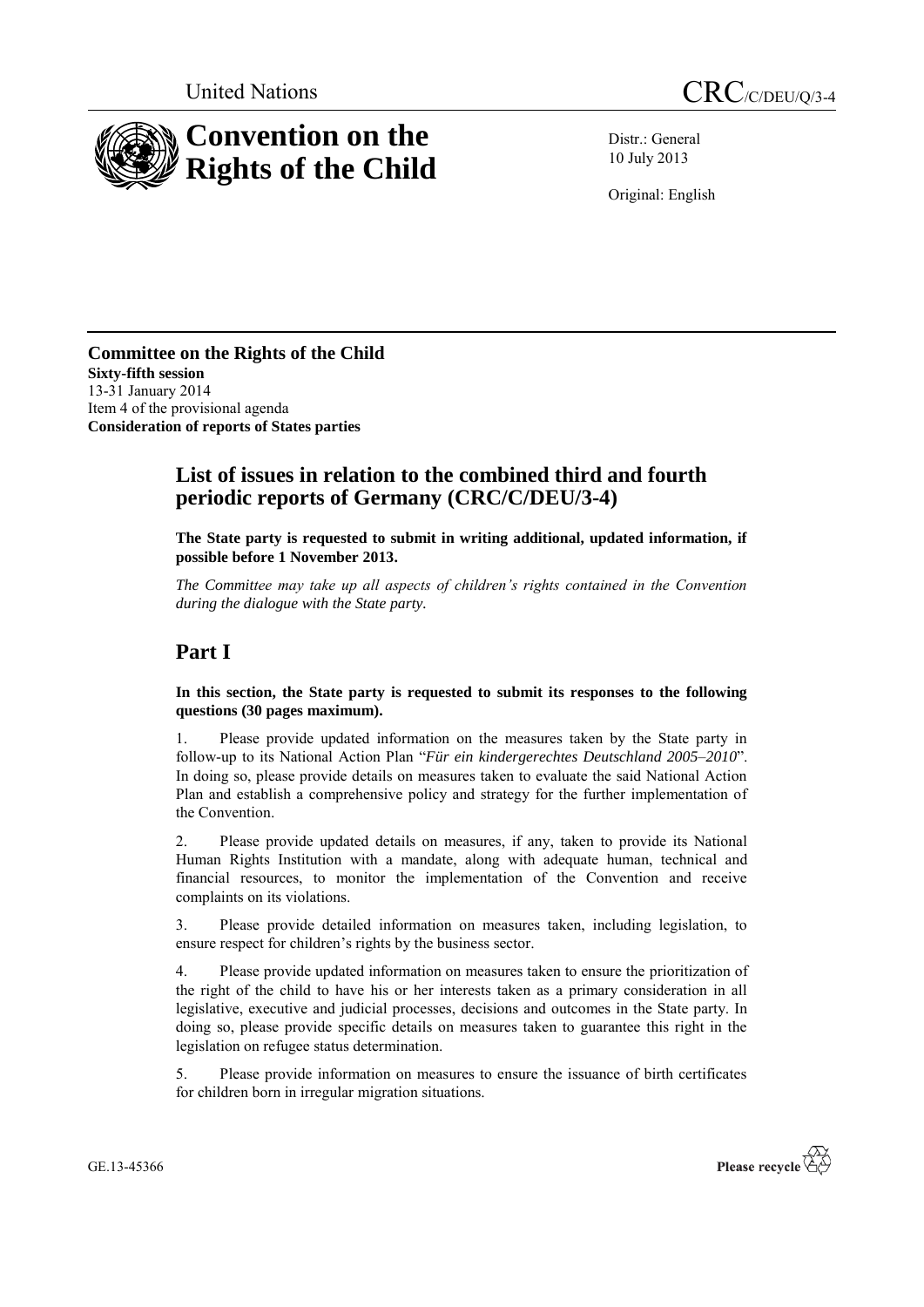

Distr.: General 10 July 2013

Original: English

**Committee on the Rights of the Child Sixty-fifth session** 13-31 January 2014 Item 4 of the provisional agenda **Consideration of reports of States parties**

## **List of issues in relation to the combined third and fourth periodic reports of Germany (CRC/C/DEU/3-4)**

**The State party is requested to submit in writing additional, updated information, if possible before 1 November 2013.**

*The Committee may take up all aspects of children's rights contained in the Convention during the dialogue with the State party.* 

# **Part I**

**In this section, the State party is requested to submit its responses to the following questions (30 pages maximum).**

1. Please provide updated information on the measures taken by the State party in follow-up to its National Action Plan "*Für ein kindergerechtes Deutschland 2005–2010*". In doing so, please provide details on measures taken to evaluate the said National Action Plan and establish a comprehensive policy and strategy for the further implementation of the Convention.

2. Please provide updated details on measures, if any, taken to provide its National Human Rights Institution with a mandate, along with adequate human, technical and financial resources, to monitor the implementation of the Convention and receive complaints on its violations.

3. Please provide detailed information on measures taken, including legislation, to ensure respect for children's rights by the business sector.

4. Please provide updated information on measures taken to ensure the prioritization of the right of the child to have his or her interests taken as a primary consideration in all legislative, executive and judicial processes, decisions and outcomes in the State party. In doing so, please provide specific details on measures taken to guarantee this right in the legislation on refugee status determination.

5. Please provide information on measures to ensure the issuance of birth certificates for children born in irregular migration situations.



GE.13-45366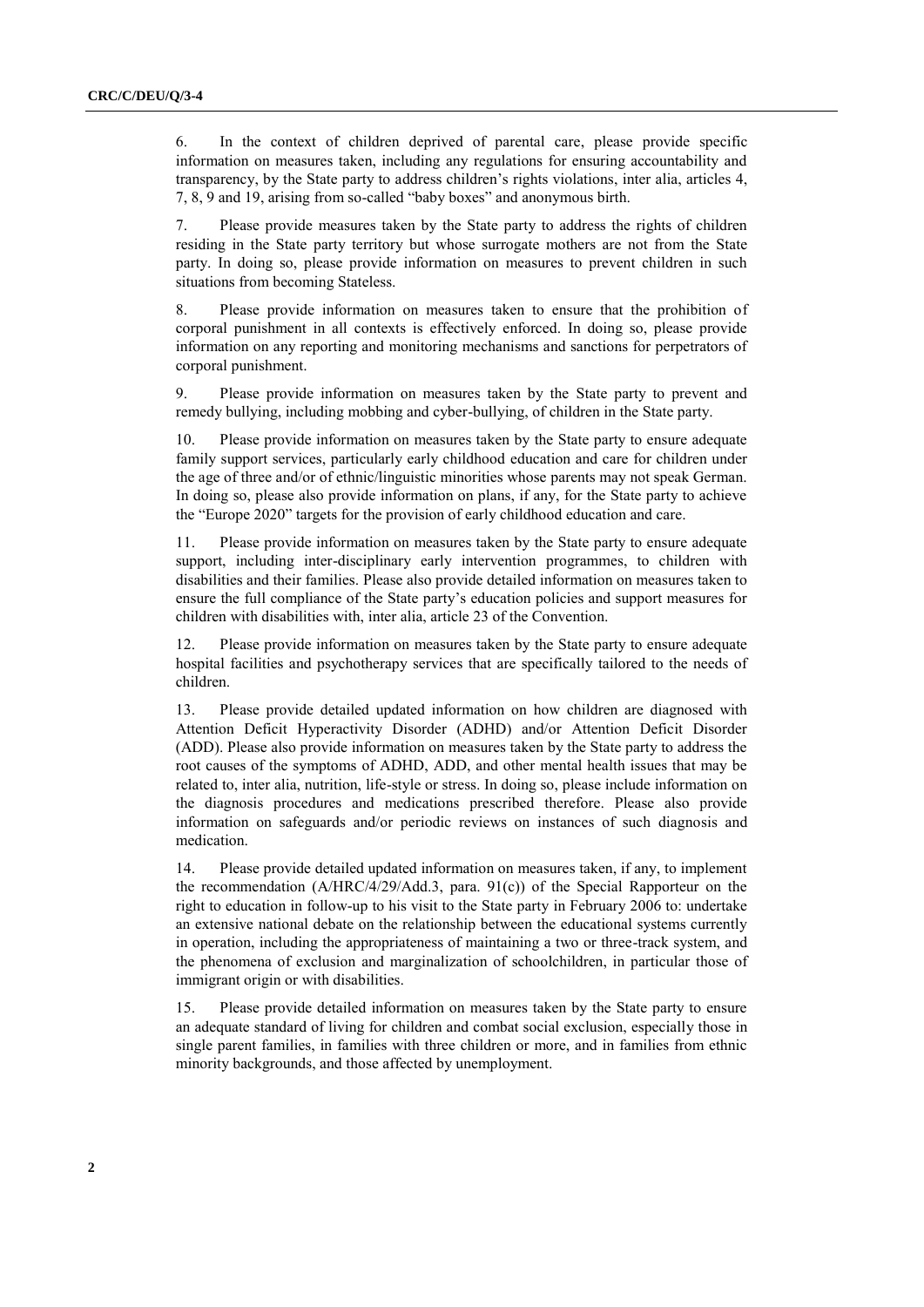6. In the context of children deprived of parental care, please provide specific information on measures taken, including any regulations for ensuring accountability and transparency, by the State party to address children's rights violations, inter alia, articles 4, 7, 8, 9 and 19, arising from so-called "baby boxes" and anonymous birth.

7. Please provide measures taken by the State party to address the rights of children residing in the State party territory but whose surrogate mothers are not from the State party. In doing so, please provide information on measures to prevent children in such situations from becoming Stateless.

8. Please provide information on measures taken to ensure that the prohibition of corporal punishment in all contexts is effectively enforced. In doing so, please provide information on any reporting and monitoring mechanisms and sanctions for perpetrators of corporal punishment.

9. Please provide information on measures taken by the State party to prevent and remedy bullying, including mobbing and cyber-bullying, of children in the State party.

10. Please provide information on measures taken by the State party to ensure adequate family support services, particularly early childhood education and care for children under the age of three and/or of ethnic/linguistic minorities whose parents may not speak German. In doing so, please also provide information on plans, if any, for the State party to achieve the "Europe 2020" targets for the provision of early childhood education and care.

11. Please provide information on measures taken by the State party to ensure adequate support, including inter-disciplinary early intervention programmes, to children with disabilities and their families. Please also provide detailed information on measures taken to ensure the full compliance of the State party's education policies and support measures for children with disabilities with, inter alia, article 23 of the Convention.

12. Please provide information on measures taken by the State party to ensure adequate hospital facilities and psychotherapy services that are specifically tailored to the needs of children.

13. Please provide detailed updated information on how children are diagnosed with Attention Deficit Hyperactivity Disorder (ADHD) and/or Attention Deficit Disorder (ADD). Please also provide information on measures taken by the State party to address the root causes of the symptoms of ADHD, ADD, and other mental health issues that may be related to, inter alia, nutrition, life-style or stress. In doing so, please include information on the diagnosis procedures and medications prescribed therefore. Please also provide information on safeguards and/or periodic reviews on instances of such diagnosis and medication.

14. Please provide detailed updated information on measures taken, if any, to implement the recommendation (A/HRC/4/29/Add.3, para. 91(c)) of the Special Rapporteur on the right to education in follow-up to his visit to the State party in February 2006 to: undertake an extensive national debate on the relationship between the educational systems currently in operation, including the appropriateness of maintaining a two or three-track system, and the phenomena of exclusion and marginalization of schoolchildren, in particular those of immigrant origin or with disabilities.

15. Please provide detailed information on measures taken by the State party to ensure an adequate standard of living for children and combat social exclusion, especially those in single parent families, in families with three children or more, and in families from ethnic minority backgrounds, and those affected by unemployment.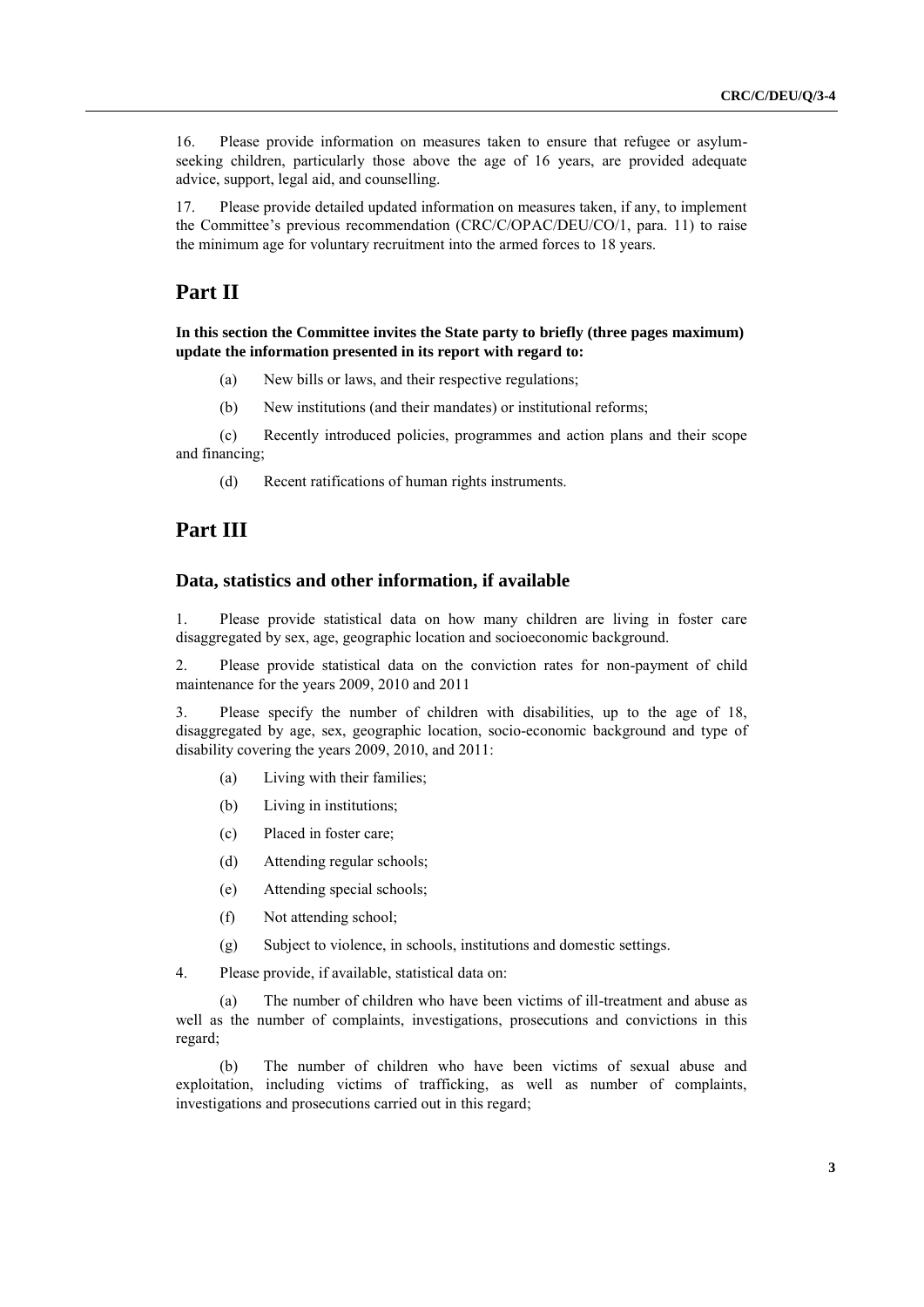16. Please provide information on measures taken to ensure that refugee or asylumseeking children, particularly those above the age of 16 years, are provided adequate advice, support, legal aid, and counselling.

17. Please provide detailed updated information on measures taken, if any, to implement the Committee's previous recommendation (CRC/C/OPAC/DEU/CO/1, para. 11) to raise the minimum age for voluntary recruitment into the armed forces to 18 years.

### **Part II**

**In this section the Committee invites the State party to briefly (three pages maximum) update the information presented in its report with regard to:**

- (a) New bills or laws, and their respective regulations;
- (b) New institutions (and their mandates) or institutional reforms;

(c) Recently introduced policies, programmes and action plans and their scope and financing;

(d) Recent ratifications of human rights instruments.

#### **Part III**

#### **Data, statistics and other information, if available**

1. Please provide statistical data on how many children are living in foster care disaggregated by sex, age, geographic location and socioeconomic background.

2. Please provide statistical data on the conviction rates for non-payment of child maintenance for the years 2009, 2010 and 2011

3. Please specify the number of children with disabilities, up to the age of 18, disaggregated by age, sex, geographic location, socio-economic background and type of disability covering the years 2009, 2010, and 2011:

- (a) Living with their families;
- (b) Living in institutions;
- (c) Placed in foster care;
- (d) Attending regular schools;
- (e) Attending special schools;
- (f) Not attending school;
- (g) Subject to violence, in schools, institutions and domestic settings.
- 4. Please provide, if available, statistical data on:

(a) The number of children who have been victims of ill-treatment and abuse as well as the number of complaints, investigations, prosecutions and convictions in this regard;

(b) The number of children who have been victims of sexual abuse and exploitation, including victims of trafficking, as well as number of complaints, investigations and prosecutions carried out in this regard;